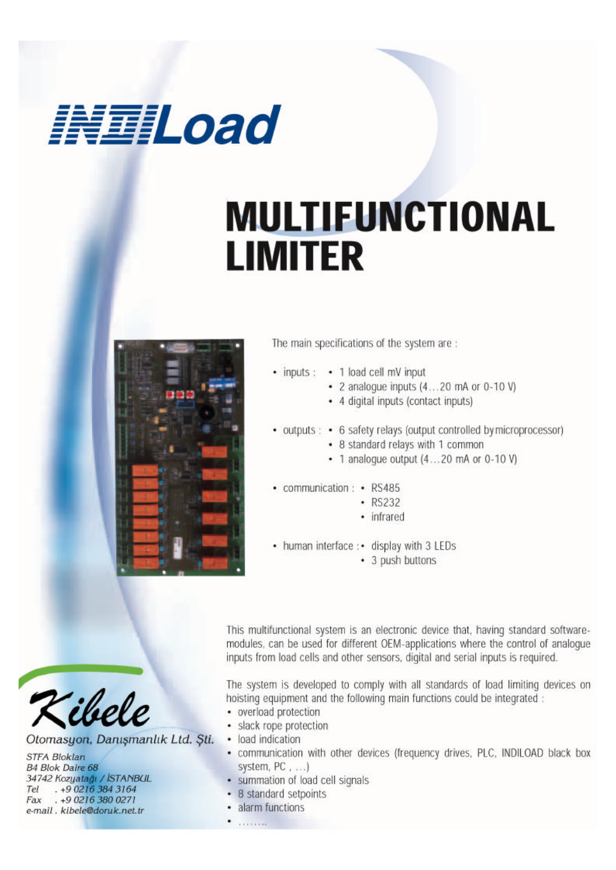## 

## **MULTIFUNCTIONAL LIMITER**



The main specifications of the system are :

- inputs: 1 load cell mV input
	- 2 analogue inputs  $(4...20$  mA or  $0-10$  V)
	- 4 digital inputs (contact inputs)
- outputs: 6 safety relays (output controlled by microprocessor)
	- 8 standard relays with 1 common
	- 1 analoque output (4...20 mA or 0-10 V)
- communication: RS485
	- $\cdot$  RS232
		- · infrared
- human interface : display with 3 LEDs
	- 3 push buttons

This multifunctional system is an electronic device that, having standard softwaremodules, can be used for different OEM-applications where the control of analogue inputs from load cells and other sensors, digital and serial inputs is required.

The system is developed to comply with all standards of load limiting devices on hoisting equipment and the following main functions could be integrated :

- overload protection
- · slack rope protection
- · load indication
- · communication with other devices (frequency drives, PLC, INDILOAD black box system, PC, ...)
- · summation of load cell signals
- 8 standard setpoints
- · alarm functions
- **Services**



Otomasyon, Danışmanlık Ltd. Sti.

**STFA Bloklan B4 Blok Daire 68** 34742 Kozyatağı / İSTANBUL Tel . +9 0216 384 3164<br>Fax . +9 0216 380 0271 e-mail, kibele@doruk.net.tr